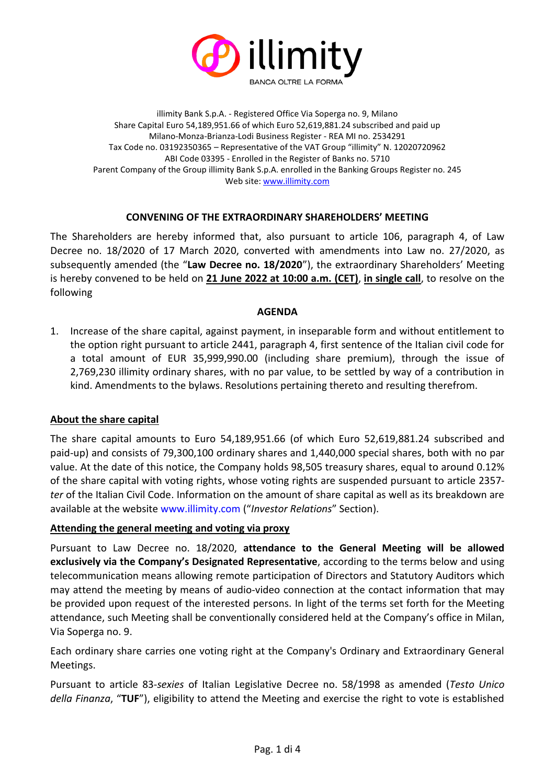

illimity Bank S.p.A. - Registered Office Via Soperga no. 9, Milano Share Capital Euro 54,189,951.66 of which Euro 52,619,881.24 subscribed and paid up Milano-Monza-Brianza-Lodi Business Register - REA MI no. 2534291 Tax Code no. 03192350365 – Representative of the VAT Group "illimity" N. 12020720962 ABI Code 03395 - Enrolled in the Register of Banks no. 5710 Parent Company of the Group illimity Bank S.p.A. enrolled in the Banking Groups Register no. 245 Web site[: www.illimity.com](http://www.illimity.com/)

### **CONVENING OF THE EXTRAORDINARY SHAREHOLDERS' MEETING**

The Shareholders are hereby informed that, also pursuant to article 106, paragraph 4, of Law Decree no. 18/2020 of 17 March 2020, converted with amendments into Law no. 27/2020, as subsequently amended (the "**Law Decree no. 18/2020**"), the extraordinary Shareholders' Meeting is hereby convened to be held on **21 June 2022 at 10:00 a.m. (CET)**, **in single call**, to resolve on the following

#### **AGENDA**

1. Increase of the share capital, against payment, in inseparable form and without entitlement to the option right pursuant to article 2441, paragraph 4, first sentence of the Italian civil code for a total amount of EUR 35,999,990.00 (including share premium), through the issue of 2,769,230 illimity ordinary shares, with no par value, to be settled by way of a contribution in kind. Amendments to the bylaws. Resolutions pertaining thereto and resulting therefrom.

#### **About the share capital**

The share capital amounts to Euro 54,189,951.66 (of which Euro 52,619,881.24 subscribed and paid-up) and consists of 79,300,100 ordinary shares and 1,440,000 special shares, both with no par value. At the date of this notice, the Company holds 98,505 treasury shares, equal to around 0.12% of the share capital with voting rights, whose voting rights are suspended pursuant to article 2357 *ter* of the Italian Civil Code. Information on the amount of share capital as well as its breakdown are available at the website [www.illimity.com](http://www.illimity.com/) ("*Investor Relations*" Section).

#### **Attending the general meeting and voting via proxy**

Pursuant to Law Decree no. 18/2020, **attendance to the General Meeting will be allowed exclusively via the Company's Designated Representative**, according to the terms below and using telecommunication means allowing remote participation of Directors and Statutory Auditors which may attend the meeting by means of audio-video connection at the contact information that may be provided upon request of the interested persons. In light of the terms set forth for the Meeting attendance, such Meeting shall be conventionally considered held at the Company's office in Milan, Via Soperga no. 9.

Each ordinary share carries one voting right at the Company's Ordinary and Extraordinary General Meetings.

Pursuant to article 83-*sexies* of Italian Legislative Decree no. 58/1998 as amended (*Testo Unico della Finanza*, "**TUF**"), eligibility to attend the Meeting and exercise the right to vote is established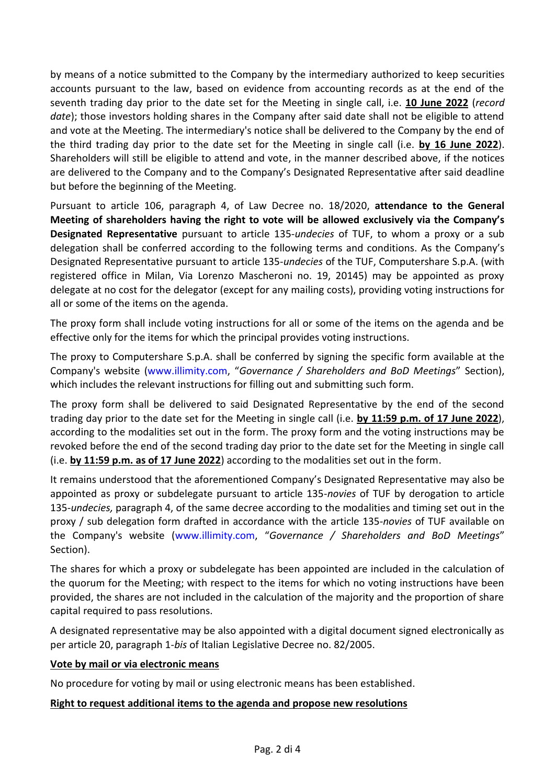by means of a notice submitted to the Company by the intermediary authorized to keep securities accounts pursuant to the law, based on evidence from accounting records as at the end of the seventh trading day prior to the date set for the Meeting in single call, i.e. **10 June 2022** (*record*  date); those investors holding shares in the Company after said date shall not be eligible to attend and vote at the Meeting. The intermediary's notice shall be delivered to the Company by the end of the third trading day prior to the date set for the Meeting in single call (i.e. **by 16 June 2022**). Shareholders will still be eligible to attend and vote, in the manner described above, if the notices are delivered to the Company and to the Company's Designated Representative after said deadline but before the beginning of the Meeting.

Pursuant to article 106, paragraph 4, of Law Decree no. 18/2020, **attendance to the General Meeting of shareholders having the right to vote will be allowed exclusively via the Company's Designated Representative** pursuant to article 135-*undecies* of TUF, to whom a proxy or a sub delegation shall be conferred according to the following terms and conditions. As the Company's Designated Representative pursuant to article 135-*undecies* of the TUF, Computershare S.p.A. (with registered office in Milan, Via Lorenzo Mascheroni no. 19, 20145) may be appointed as proxy delegate at no cost for the delegator (except for any mailing costs), providing voting instructions for all or some of the items on the agenda.

The proxy form shall include voting instructions for all or some of the items on the agenda and be effective only for the items for which the principal provides voting instructions.

The proxy to Computershare S.p.A. shall be conferred by signing the specific form available at the Company's website [\(www.illimity.com](http://www.illimity.com/), "*Governance / Shareholders and BoD Meetings*" Section), which includes the relevant instructions for filling out and submitting such form.

The proxy form shall be delivered to said Designated Representative by the end of the second trading day prior to the date set for the Meeting in single call (i.e. **by 11:59 p.m. of 17 June 2022**), according to the modalities set out in the form. The proxy form and the voting instructions may be revoked before the end of the second trading day prior to the date set for the Meeting in single call (i.e. **by 11:59 p.m. as of 17 June 2022**) according to the modalities set out in the form.

It remains understood that the aforementioned Company's Designated Representative may also be appointed as proxy or subdelegate pursuant to article 135-*novies* of TUF by derogation to article 135-*undecies,* paragraph 4, of the same decree according to the modalities and timing set out in the proxy / sub delegation form drafted in accordance with the article 135-*novies* of TUF available on the Company's website [\(www.illimity.com,](http://www.illimity.com/) "*Governance / Shareholders and BoD Meetings*" Section).

The shares for which a proxy or subdelegate has been appointed are included in the calculation of the quorum for the Meeting; with respect to the items for which no voting instructions have been provided, the shares are not included in the calculation of the majority and the proportion of share capital required to pass resolutions.

A designated representative may be also appointed with a digital document signed electronically as per article 20, paragraph 1-*bis* of Italian Legislative Decree no. 82/2005.

#### **Vote by mail or via electronic means**

No procedure for voting by mail or using electronic means has been established.

#### **Right to request additional items to the agenda and propose new resolutions**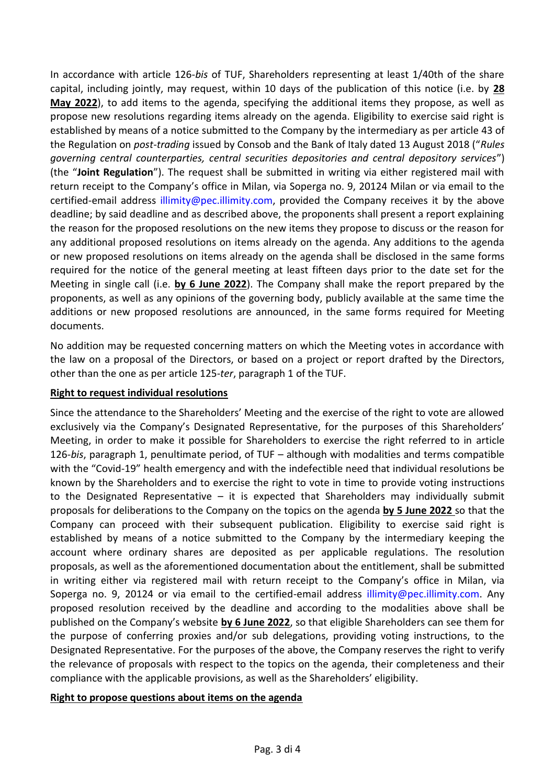In accordance with article 126-*bis* of TUF, Shareholders representing at least 1/40th of the share capital, including jointly, may request, within 10 days of the publication of this notice (i.e. by **28 May 2022**), to add items to the agenda, specifying the additional items they propose, as well as propose new resolutions regarding items already on the agenda. Eligibility to exercise said right is established by means of a notice submitted to the Company by the intermediary as per article 43 of the Regulation on *post-trading* issued by Consob and the Bank of Italy dated 13 August 2018 ("*Rules governing central counterparties, central securities depositories and central depository services*") (the "**Joint Regulation**"). The request shall be submitted in writing via either registered mail with return receipt to the Company's office in Milan, via Soperga no. 9, 20124 Milan or via email to the certified-email address illimity@pec.illimity.com, provided the Company receives it by the above deadline; by said deadline and as described above, the proponents shall present a report explaining the reason for the proposed resolutions on the new items they propose to discuss or the reason for any additional proposed resolutions on items already on the agenda. Any additions to the agenda or new proposed resolutions on items already on the agenda shall be disclosed in the same forms required for the notice of the general meeting at least fifteen days prior to the date set for the Meeting in single call (i.e. **by 6 June 2022**). The Company shall make the report prepared by the proponents, as well as any opinions of the governing body, publicly available at the same time the additions or new proposed resolutions are announced, in the same forms required for Meeting documents.

No addition may be requested concerning matters on which the Meeting votes in accordance with the law on a proposal of the Directors, or based on a project or report drafted by the Directors, other than the one as per article 125-*ter*, paragraph 1 of the TUF.

## **Right to request individual resolutions**

Since the attendance to the Shareholders' Meeting and the exercise of the right to vote are allowed exclusively via the Company's Designated Representative, for the purposes of this Shareholders' Meeting, in order to make it possible for Shareholders to exercise the right referred to in article 126-*bis*, paragraph 1, penultimate period, of TUF – although with modalities and terms compatible with the "Covid-19" health emergency and with the indefectible need that individual resolutions be known by the Shareholders and to exercise the right to vote in time to provide voting instructions to the Designated Representative  $-$  it is expected that Shareholders may individually submit proposals for deliberations to the Company on the topics on the agenda **by 5 June 2022** so that the Company can proceed with their subsequent publication. Eligibility to exercise said right is established by means of a notice submitted to the Company by the intermediary keeping the account where ordinary shares are deposited as per applicable regulations. The resolution proposals, as well as the aforementioned documentation about the entitlement, shall be submitted in writing either via registered mail with return receipt to the Company's office in Milan, via Soperga no. 9, 20124 or via email to the certified-email address [illimity@pec.illimity.com.](mailto:illimity@pec.illimity.com) Any proposed resolution received by the deadline and according to the modalities above shall be published on the Company's website **by 6 June 2022**, so that eligible Shareholders can see them for the purpose of conferring proxies and/or sub delegations, providing voting instructions, to the Designated Representative. For the purposes of the above, the Company reserves the right to verify the relevance of proposals with respect to the topics on the agenda, their completeness and their compliance with the applicable provisions, as well as the Shareholders' eligibility.

#### **Right to propose questions about items on the agenda**